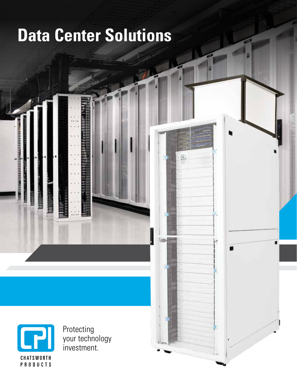# **Data Center Solutions**

 $\mathbb{F}$ 

**ROS** 

п



**TERRITORY** 

Protecting your technology investment.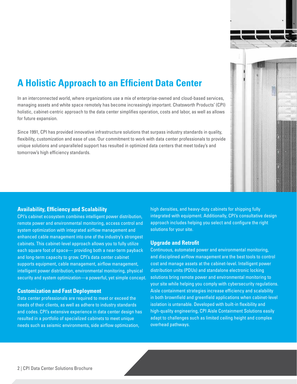

# **A Holistic Approach to an Efficient Data Center**

In an interconnected world, where organizations use a mix of enterprise-owned and cloud-based services, managing assets and white space remotely has become increasingly important. Chatsworth Products' (CPI) holistic, cabinet-centric approach to the data center simplifies operation, costs and labor, as well as allows for future expansion.

Since 1991, CPI has provided innovative infrastructure solutions that surpass industry standards in quality, flexibility, customization and ease of use. Our commitment to work with data center professionals to provide unique solutions and unparalleled support has resulted in optimized data centers that meet today's and tomorrow's high efficiency standards.

#### **Availability, Efficiency and Scalability**

CPI's cabinet ecosystem combines intelligent power distribution, remote power and environmental monitoring, access control and system optimization with integrated airflow management and enhanced cable management into one of the industry's strongest cabinets. This cabinet-level approach allows you to fully utilize each square foot of space— providing both a near-term payback and long-term capacity to grow. CPI's data center cabinet supports equipment, cable management, airflow management, intelligent power distribution, environmental monitoring, physical security and system optimization—a powerful, yet simple concept.

#### **Customization and Fast Deployment**

Data center professionals are required to meet or exceed the needs of their clients, as well as adhere to industry standards and codes. CPI's extensive experience in data center design has resulted in a portfolio of specialized cabinets to meet unique needs such as seismic environments, side airflow optimization,

high densities, and heavy-duty cabinets for shipping fully integrated with equipment. Additionally, CPI's consultative design approach includes helping you select and configure the right solutions for your site.

#### **Upgrade and Retrofit**

Continuous, automated power and environmental monitoring, and disciplined airflow management are the best tools to control cost and manage assets at the cabinet-level. Intelligent power distribution units (PDUs) and standalone electronic locking solutions bring remote power and environmental monitoring to your site while helping you comply with cybersecurity regulations. Aisle containment strategies increase efficiency and scalability in both brownfield and greenfield applications when cabinet-level isolation is untenable. Developed with built-in flexibility and high-quality engineering, CPI Aisle Containment Solutions easily adapt to challenges such as limited ceiling height and complex overhead pathways.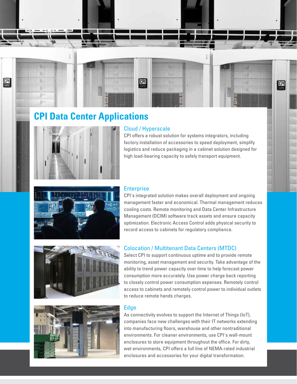

# **CPI Data Center Applications**



### Cloud / Hyperscale

CPI offers a robust solution for systems integrators, including factory installation of accessories to speed deployment, simplify logistics and reduce packaging in a cabinet solution designed for high load-bearing capacity to safely transport equipment.



#### **Enterprise**

CPI's integrated solution makes overall deployment and ongoing management faster and economical. Thermal management reduces cooling costs. Remote monitoring and Data Center Infrastructure Management (DCIM) software track assets and ensure capacity optimization. Electronic Access Control adds physical security to record access to cabinets for regulatory compliance.



#### Colocation / Multitenant Data Centers (MTDC)

Select CPI to support continuous uptime and to provide remote monitoring, asset management and security. Take advantage of the ability to trend power capacity over time to help forecast power consumption more accurately. Use power charge back reporting to closely control power consumption expenses. Remotely control access to cabinets and remotely control power to individual outlets to reduce remote hands charges.



#### Edge

As connectivity evolves to support the Internet of Things (IoT), companies face new challenges with their IT networks extending into manufacturing floors, warehouse and other nontraditional environments. For cleaner environments, use CPI's wall-mount enclosures to store equipment throughout the office. For dirty, wet environments, CPI offers a full line of NEMA-rated industrial enclosures and accessories for your digital transformation.

CPI Data Center Solutions Brochure | 3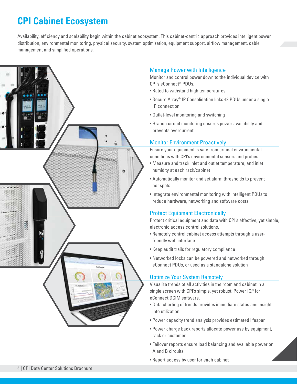# **CPI Cabinet Ecosystem**

Availability, efficiency and scalability begin within the cabinet ecosystem. This cabinet-centric approach provides intelligent power distribution, environmental monitoring, physical security, system optimization, equipment support, airflow management, cable management and simplified operations.



# Manage Power with Intelligence

Monitor and control power down to the individual device with CPI's eConnect® PDUs.

- Rated to withstand high temperatures
- Secure Array® IP Consolidation links 48 PDUs under a single IP connection
- Outlet-level monitoring and switching
- Branch circuit monitoring ensures power availability and prevents overcurrent.

### Monitor Environment Proactively

Ensure your equipment is safe from critical environmental conditions with CPI's environmental sensors and probes.

- Measure and track inlet and outlet temperature, and inlet humidity at each rack/cabinet
- Automatically monitor and set alarm thresholds to prevent hot spots
- Integrate environmental monitoring with intelligent PDUs to reduce hardware, networking and software costs

# Protect Equipment Electronically

Protect critical equipment and data with CPI's effective, yet simple, electronic access control solutions.

- Remotely control cabinet access attempts through a userfriendly web interface
- Keep audit trails for regulatory compliance
- Networked locks can be powered and networked through eConnect PDUs, or used as a standalone solution

# Optimize Your System Remotely

Visualize trends of all activities in the room and cabinet in a single screen with CPI's simple, yet robust, Power IQ® for eConnect DCIM software.

- Data charting of trends provides immediate status and insight into utilization
- Power capacity trend analysis provides estimated lifespan
- Power charge back reports allocate power use by equipment, rack or customer
- Failover reports ensure load balancing and available power on A and B circuits
- Report access by user for each cabinet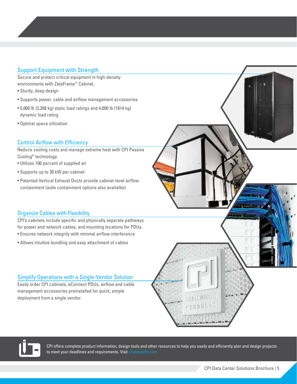# Support Equipment with Strength

Secure and protect critical equipment in high-density environments with ZetaFrame™ Cabinet.

- Sturdy, deep design
- Supports power, cable and airflow management accessories
- 5,000 lb (2,268 kg) static load ratings and 4,000 lb (1814 kg) dynamic load rating
- Optimal space utilization

### Control Airflow with Efficiency

Reduce cooling costs and manage extreme heat with CPI Passive Cooling® technology.

- Utilizes 100 percent of supplied air
- Supports up to 30 kW per cabinet
- Patented Vertical Exhaust Ducts provide cabinet-level airflow containment (aisle containment options also availalbe)

# Organize Cables with Flexibility

CPI's cabinets include specific and physically separate pathways for power and network cables, and mounting locations for PDUs. • Ensures network integrity with minimal airflow interference

• Allows intuitive bundling and easy attachment of cables

### Simplify Operations with a Single-Vendor Solution

Easily order CPI cabinets, eConnect PDUs, airflow and cable management accessories preinstalled for quick, simple deployment from a single vendor.





CPI offers complete product information, design tools and other resources to help you easily and efficiently plan and design projects to meet your deadlines and requirements. Visit chatsworth.com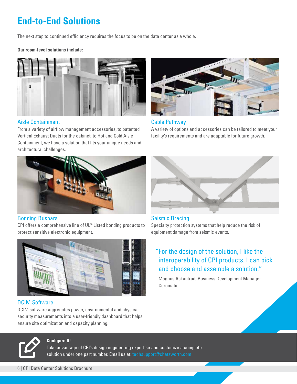# **End-to-End Solutions**

The next step to continued efficiency requires the focus to be on the data center as a whole.

#### **Our room-level solutions include:**



#### Aisle Containment

From a variety of airflow management accessories, to patented Vertical Exhaust Ducts for the cabinet, to Hot and Cold Aisle Containment, we have a solution that fits your unique needs and architectural challenges.



#### Bonding Busbars

CPI offers a comprehensive line of UL® Listed bonding products to protect sensitive electronic equipment.



### DCIM Software

DCIM software aggregates power, environmental and physical security measurements into a user-friendly dashboard that helps ensure site optimization and capacity planning.



#### **Configure It!**

Take advantage of CPI's design engineering expertise and customize a complete solution under one part number. Email us at: techsupport@chatsworth.com



#### Cable Pathway

A variety of options and accessories can be tailored to meet your facility's requirements and are adaptable for future growth.



# Seismic Bracing

Specialty protection systems that help reduce the risk of equipment damage from seismic events.

# "For the design of the solution, I like the interoperability of CPI products. I can pick and choose and assemble a solution."

Magnus Askautrud, Business Development Manager Coromatic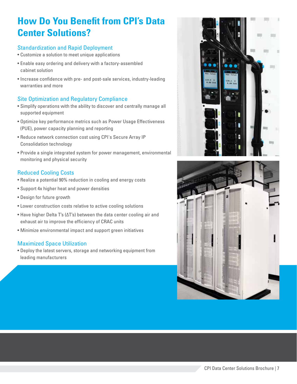# **How Do You Benefit from CPI's Data Center Solutions?**

## Standardization and Rapid Deployment

- Customize a solution to meet unique applications
- Enable easy ordering and delivery with a factory-assembled cabinet solution
- Increase confidence with pre- and post-sale services, industry-leading warranties and more

# Site Optimization and Regulatory Compliance

- Simplify operations with the ability to discover and centrally manage all supported equipment
- Optimize key performance metrics such as Power Usage Effectiveness (PUE), power capacity planning and reporting
- Reduce network connection cost using CPI's Secure Array IP Consolidation technology
- Provide a single integrated system for power management, environmental monitoring and physical security

# Reduced Cooling Costs

- Realize a potential 90% reduction in cooling and energy costs
- Support 4x higher heat and power densities
- Design for future growth
- Lower construction costs relative to active cooling solutions
- Have higher Delta T's (ΔT's) between the data center cooling air and exhaust air to improve the efficiency of CRAC units
- Minimize environmental impact and support green initiatives

# Maximized Space Utilization

• Deploy the latest servers, storage and networking equipment from leading manufacturers